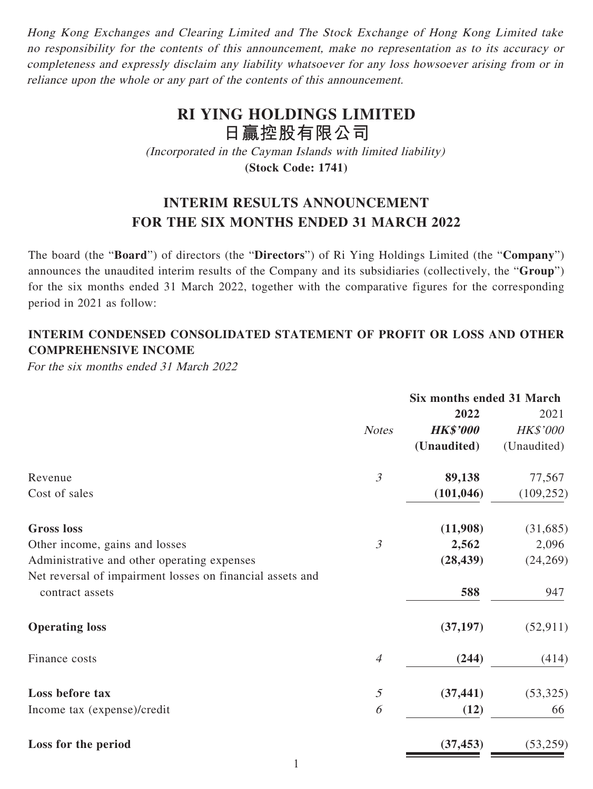Hong Kong Exchanges and Clearing Limited and The Stock Exchange of Hong Kong Limited take no responsibility for the contents of this announcement, make no representation as to its accuracy or completeness and expressly disclaim any liability whatsoever for any loss howsoever arising from or in reliance upon the whole or any part of the contents of this announcement.

# **RI YING HOLDINGS LIMITED 日贏控股有限公司**

(Incorporated in the Cayman Islands with limited liability) **(Stock Code: 1741)**

# **INTERIM RESULTS ANNOUNCEMENT FOR THE SIX MONTHS ENDED 31 MARCH 2022**

The board (the "**Board**") of directors (the "**Directors**") of Ri Ying Holdings Limited (the "**Company**") announces the unaudited interim results of the Company and its subsidiaries (collectively, the "**Group**") for the six months ended 31 March 2022, together with the comparative figures for the corresponding period in 2021 as follow:

# **INTERIM CONDENSED CONSOLIDATED STATEMENT OF PROFIT OR LOSS AND OTHER COMPREHENSIVE INCOME**

For the six months ended 31 March 2022

|                                                           |                | Six months ended 31 March |                 |
|-----------------------------------------------------------|----------------|---------------------------|-----------------|
|                                                           |                | 2022                      | 2021            |
|                                                           | <b>Notes</b>   | <b>HK\$'000</b>           | <b>HK\$'000</b> |
|                                                           |                | (Unaudited)               | (Unaudited)     |
| Revenue                                                   | $\mathfrak{Z}$ | 89,138                    | 77,567          |
| Cost of sales                                             |                | (101, 046)                | (109, 252)      |
| <b>Gross</b> loss                                         |                | (11,908)                  | (31, 685)       |
| Other income, gains and losses                            | $\mathfrak{Z}$ | 2,562                     | 2,096           |
| Administrative and other operating expenses               |                | (28, 439)                 | (24, 269)       |
| Net reversal of impairment losses on financial assets and |                |                           |                 |
| contract assets                                           |                | 588                       | 947             |
| <b>Operating loss</b>                                     |                | (37, 197)                 | (52, 911)       |
| Finance costs                                             | $\overline{4}$ | (244)                     | (414)           |
| Loss before tax                                           | $\mathfrak{H}$ | (37, 441)                 | (53, 325)       |
| Income tax (expense)/credit                               | 6              | (12)                      | 66              |
| Loss for the period                                       |                | (37, 453)                 | (53,259)        |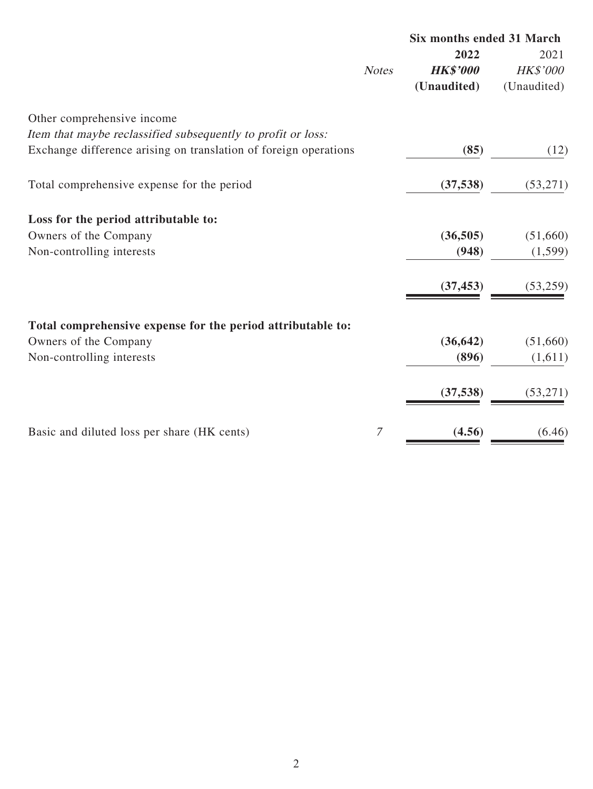|                                                                  |              | <b>Six months ended 31 March</b> |                 |  |
|------------------------------------------------------------------|--------------|----------------------------------|-----------------|--|
|                                                                  |              | 2022                             | 2021            |  |
|                                                                  | <b>Notes</b> | <b>HK\$'000</b>                  | <b>HK\$'000</b> |  |
|                                                                  |              | (Unaudited)                      | (Unaudited)     |  |
| Other comprehensive income                                       |              |                                  |                 |  |
| Item that maybe reclassified subsequently to profit or loss:     |              |                                  |                 |  |
| Exchange difference arising on translation of foreign operations |              | (85)                             | (12)            |  |
| Total comprehensive expense for the period                       |              | (37, 538)                        | (53,271)        |  |
|                                                                  |              |                                  |                 |  |
| Loss for the period attributable to:                             |              |                                  |                 |  |
| Owners of the Company                                            |              | (36, 505)                        | (51,660)        |  |
| Non-controlling interests                                        |              | (948)                            | (1,599)         |  |
|                                                                  |              | (37, 453)                        | (53,259)        |  |
|                                                                  |              |                                  |                 |  |
| Total comprehensive expense for the period attributable to:      |              |                                  |                 |  |
| Owners of the Company                                            |              | (36, 642)                        | (51,660)        |  |
| Non-controlling interests                                        |              | (896)                            | (1,611)         |  |
|                                                                  |              | (37, 538)                        | (53,271)        |  |
| Basic and diluted loss per share (HK cents)                      | 7            | (4.56)                           | (6.46)          |  |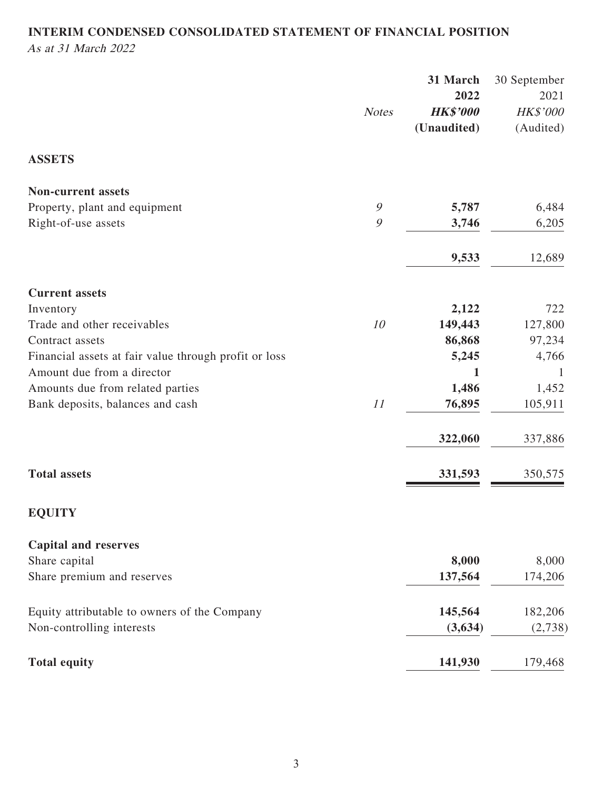# **INTERIM CONDENSED CONSOLIDATED STATEMENT OF FINANCIAL POSITION** As at 31 March 2022

|                                                       |               | 31 March                       | 30 September          |
|-------------------------------------------------------|---------------|--------------------------------|-----------------------|
|                                                       |               | 2022                           | 2021                  |
|                                                       | <b>Notes</b>  | <b>HK\$'000</b><br>(Unaudited) | HK\$'000<br>(Audited) |
|                                                       |               |                                |                       |
| <b>ASSETS</b>                                         |               |                                |                       |
| <b>Non-current assets</b>                             |               |                                |                       |
| Property, plant and equipment                         | $\mathcal{G}$ | 5,787                          | 6,484                 |
| Right-of-use assets                                   | 9             | 3,746                          | 6,205                 |
|                                                       |               | 9,533                          | 12,689                |
| <b>Current assets</b>                                 |               |                                |                       |
| Inventory                                             |               | 2,122                          | 722                   |
| Trade and other receivables                           | 10            | 149,443                        | 127,800               |
| Contract assets                                       |               | 86,868                         | 97,234                |
| Financial assets at fair value through profit or loss |               | 5,245                          | 4,766                 |
| Amount due from a director                            |               | 1                              | 1                     |
| Amounts due from related parties                      |               | 1,486                          | 1,452                 |
| Bank deposits, balances and cash                      | 11            | 76,895                         | 105,911               |
|                                                       |               | 322,060                        | 337,886               |
| <b>Total assets</b>                                   |               | 331,593                        | 350,575               |
|                                                       |               |                                |                       |
| <b>EQUITY</b>                                         |               |                                |                       |
| <b>Capital and reserves</b>                           |               |                                |                       |
| Share capital                                         |               | 8,000                          | 8,000                 |
| Share premium and reserves                            |               | 137,564                        | 174,206               |
| Equity attributable to owners of the Company          |               | 145,564                        | 182,206               |
| Non-controlling interests                             |               | (3,634)                        | (2,738)               |
| <b>Total equity</b>                                   |               | 141,930                        | 179,468               |
|                                                       |               |                                |                       |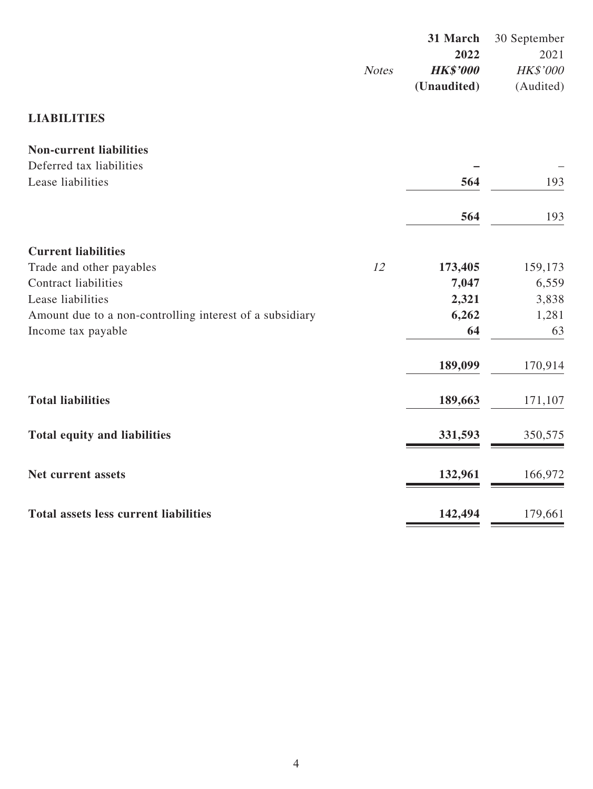|                                 | 31 March 30 September |
|---------------------------------|-----------------------|
| 2022                            | 2021                  |
| <b>HK\$'000</b><br><b>Notes</b> | <b>HK\$'000</b>       |
| (Unaudited)                     | (Audited)             |

# **LIABILITIES**

| <b>Non-current liabilities</b>                           |    |         |         |
|----------------------------------------------------------|----|---------|---------|
| Deferred tax liabilities                                 |    |         |         |
| Lease liabilities                                        |    | 564     | 193     |
|                                                          |    | 564     | 193     |
| <b>Current liabilities</b>                               |    |         |         |
| Trade and other payables                                 | 12 | 173,405 | 159,173 |
| <b>Contract liabilities</b>                              |    | 7,047   | 6,559   |
| Lease liabilities                                        |    | 2,321   | 3,838   |
| Amount due to a non-controlling interest of a subsidiary |    | 6,262   | 1,281   |
| Income tax payable                                       |    | 64      | 63      |
|                                                          |    | 189,099 | 170,914 |
| <b>Total liabilities</b>                                 |    | 189,663 | 171,107 |
| <b>Total equity and liabilities</b>                      |    | 331,593 | 350,575 |
| Net current assets                                       |    | 132,961 | 166,972 |
| Total assets less current liabilities                    |    | 142,494 | 179,661 |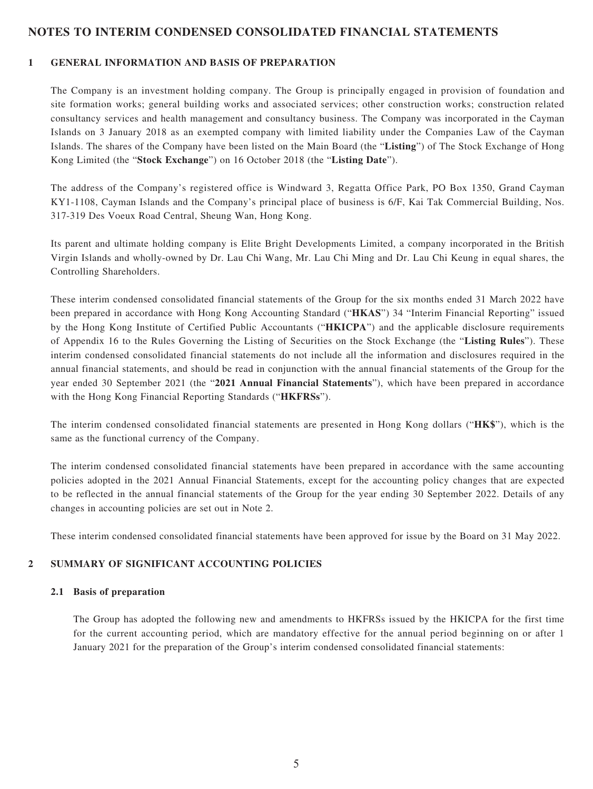### **NOTES TO INTERIM CONDENSED CONSOLIDATED FINANCIAL STATEMENTS**

#### **1 GENERAL INFORMATION AND BASIS OF PREPARATION**

The Company is an investment holding company. The Group is principally engaged in provision of foundation and site formation works; general building works and associated services; other construction works; construction related consultancy services and health management and consultancy business. The Company was incorporated in the Cayman Islands on 3 January 2018 as an exempted company with limited liability under the Companies Law of the Cayman Islands. The shares of the Company have been listed on the Main Board (the "**Listing**") of The Stock Exchange of Hong Kong Limited (the "**Stock Exchange**") on 16 October 2018 (the "**Listing Date**").

The address of the Company's registered office is Windward 3, Regatta Office Park, PO Box 1350, Grand Cayman KY1-1108, Cayman Islands and the Company's principal place of business is 6/F, Kai Tak Commercial Building, Nos. 317-319 Des Voeux Road Central, Sheung Wan, Hong Kong.

Its parent and ultimate holding company is Elite Bright Developments Limited, a company incorporated in the British Virgin Islands and wholly-owned by Dr. Lau Chi Wang, Mr. Lau Chi Ming and Dr. Lau Chi Keung in equal shares, the Controlling Shareholders.

These interim condensed consolidated financial statements of the Group for the six months ended 31 March 2022 have been prepared in accordance with Hong Kong Accounting Standard ("**HKAS**") 34 "Interim Financial Reporting" issued by the Hong Kong Institute of Certified Public Accountants ("**HKICPA**") and the applicable disclosure requirements of Appendix 16 to the Rules Governing the Listing of Securities on the Stock Exchange (the "**Listing Rules**"). These interim condensed consolidated financial statements do not include all the information and disclosures required in the annual financial statements, and should be read in conjunction with the annual financial statements of the Group for the year ended 30 September 2021 (the "**2021 Annual Financial Statements**"), which have been prepared in accordance with the Hong Kong Financial Reporting Standards ("**HKFRSs**").

The interim condensed consolidated financial statements are presented in Hong Kong dollars ("**HK\$**"), which is the same as the functional currency of the Company.

The interim condensed consolidated financial statements have been prepared in accordance with the same accounting policies adopted in the 2021 Annual Financial Statements, except for the accounting policy changes that are expected to be reflected in the annual financial statements of the Group for the year ending 30 September 2022. Details of any changes in accounting policies are set out in Note 2.

These interim condensed consolidated financial statements have been approved for issue by the Board on 31 May 2022.

#### **2 SUMMARY OF SIGNIFICANT ACCOUNTING POLICIES**

#### **2.1 Basis of preparation**

The Group has adopted the following new and amendments to HKFRSs issued by the HKICPA for the first time for the current accounting period, which are mandatory effective for the annual period beginning on or after 1 January 2021 for the preparation of the Group's interim condensed consolidated financial statements: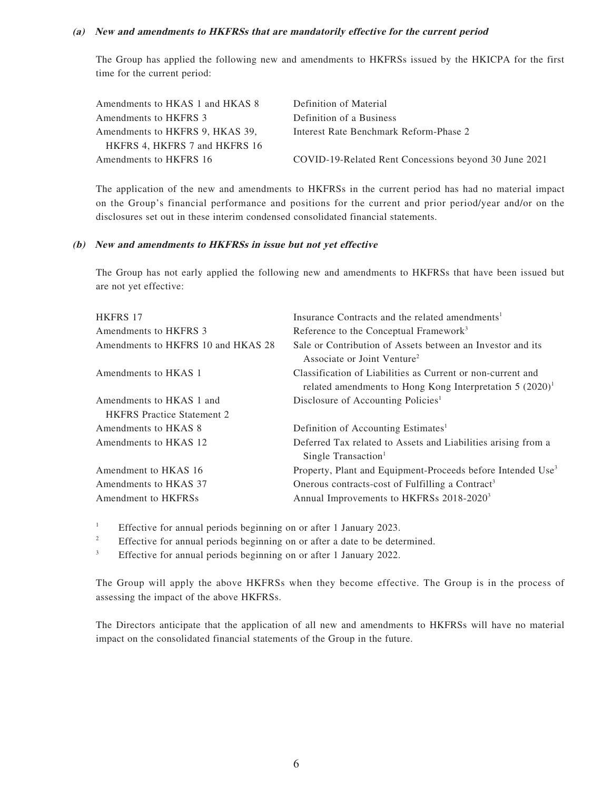#### **(a) New and amendments to HKFRSs that are mandatorily effective for the current period**

The Group has applied the following new and amendments to HKFRSs issued by the HKICPA for the first time for the current period:

| Amendments to HKAS 1 and HKAS 8 | Definition of Material                                |
|---------------------------------|-------------------------------------------------------|
| Amendments to HKFRS 3           | Definition of a Business                              |
| Amendments to HKFRS 9, HKAS 39, | Interest Rate Benchmark Reform-Phase 2                |
| HKFRS 4, HKFRS 7 and HKFRS 16   |                                                       |
| Amendments to HKFRS 16          | COVID-19-Related Rent Concessions beyond 30 June 2021 |
|                                 |                                                       |

The application of the new and amendments to HKFRSs in the current period has had no material impact on the Group's financial performance and positions for the current and prior period/year and/or on the disclosures set out in these interim condensed consolidated financial statements.

#### **(b) New and amendments to HKFRSs in issue but not yet effective**

The Group has not early applied the following new and amendments to HKFRSs that have been issued but are not yet effective:

| <b>HKFRS 17</b>                    | Insurance Contracts and the related amendments <sup>1</sup>                                                                |
|------------------------------------|----------------------------------------------------------------------------------------------------------------------------|
| Amendments to HKFRS 3              | Reference to the Conceptual Framework <sup>3</sup>                                                                         |
| Amendments to HKFRS 10 and HKAS 28 | Sale or Contribution of Assets between an Investor and its<br>Associate or Joint Venture <sup>2</sup>                      |
| Amendments to HKAS 1               | Classification of Liabilities as Current or non-current and<br>related amendments to Hong Kong Interpretation $5 (2020)^1$ |
| Amendments to HKAS 1 and           | Disclosure of Accounting Policies <sup>1</sup>                                                                             |
| <b>HKFRS</b> Practice Statement 2  |                                                                                                                            |
| Amendments to HKAS 8               | Definition of Accounting Estimates <sup>1</sup>                                                                            |
| Amendments to HKAS 12              | Deferred Tax related to Assets and Liabilities arising from a<br>Single Transaction <sup>1</sup>                           |
| Amendment to HKAS 16               | Property, Plant and Equipment-Proceeds before Intended Use <sup>3</sup>                                                    |
| Amendments to HKAS 37              | Onerous contracts-cost of Fulfilling a Contract <sup>3</sup>                                                               |
| Amendment to HKFRSs                | Annual Improvements to HKFRSs 2018-2020 <sup>3</sup>                                                                       |
|                                    |                                                                                                                            |

1 Effective for annual periods beginning on or after 1 January 2023.

2 Effective for annual periods beginning on or after a date to be determined.

3 Effective for annual periods beginning on or after 1 January 2022.

The Group will apply the above HKFRSs when they become effective. The Group is in the process of assessing the impact of the above HKFRSs.

The Directors anticipate that the application of all new and amendments to HKFRSs will have no material impact on the consolidated financial statements of the Group in the future.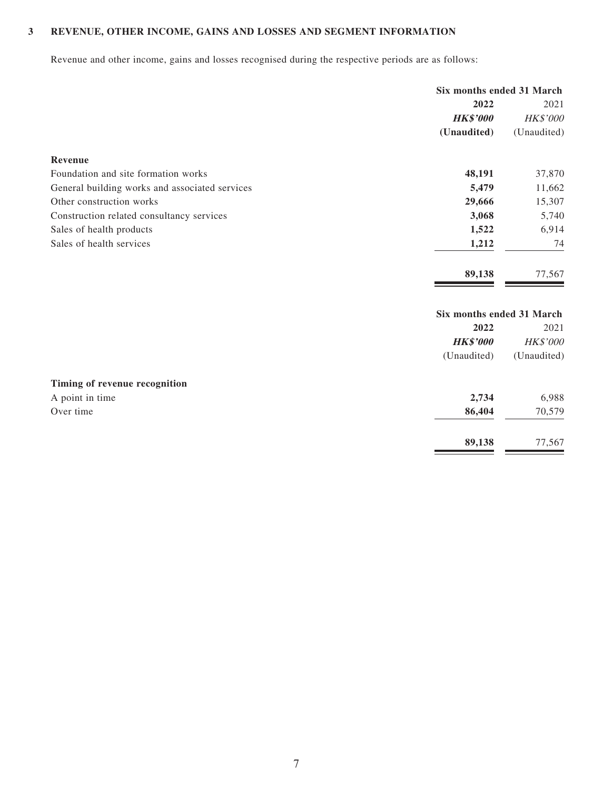### **3 REVENUE, OTHER INCOME, GAINS AND LOSSES AND SEGMENT INFORMATION**

Revenue and other income, gains and losses recognised during the respective periods are as follows:

|                                                | Six months ended 31 March |                 |  |
|------------------------------------------------|---------------------------|-----------------|--|
|                                                | 2022                      | 2021            |  |
|                                                | <b>HK\$'000</b>           | <b>HK\$'000</b> |  |
|                                                | (Unaudited)               | (Unaudited)     |  |
| Revenue                                        |                           |                 |  |
| Foundation and site formation works            | 48,191                    | 37,870          |  |
| General building works and associated services | 5,479                     | 11,662          |  |
| Other construction works                       | 29,666                    | 15,307          |  |
| Construction related consultancy services      | 3,068                     | 5,740           |  |
| Sales of health products                       | 1,522                     | 6,914           |  |
| Sales of health services                       | 1,212                     | 74              |  |
|                                                | 89,138                    | 77,567          |  |
|                                                | Six months ended 31 March |                 |  |
|                                                | 2022                      | 2021            |  |
|                                                | <b>HK\$'000</b>           | <b>HK\$'000</b> |  |
|                                                | (Unaudited)               | (Unaudited)     |  |
| Timing of revenue recognition                  |                           |                 |  |
| A point in time                                | 2,734                     | 6,988           |  |
| Over time                                      | 86,404                    | 70,579          |  |

**89,138** 77,567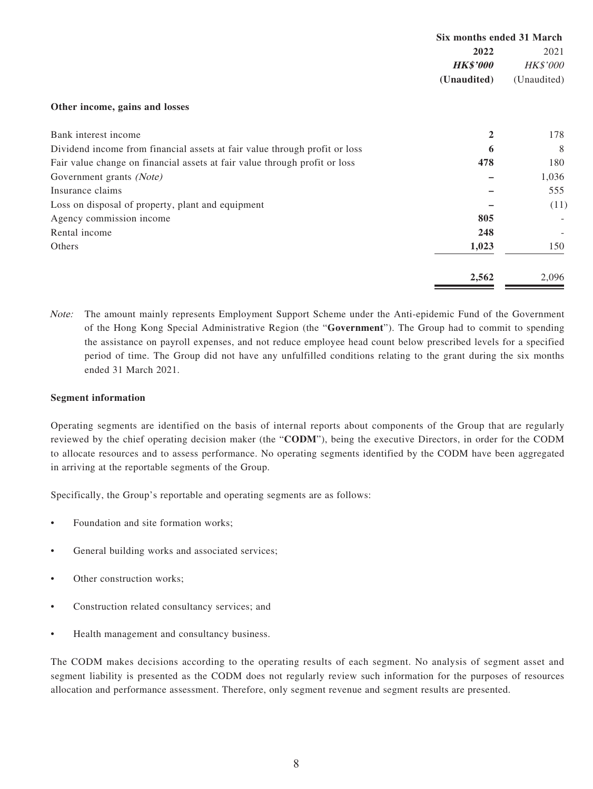|                                                                            | Six months ended 31 March |                 |
|----------------------------------------------------------------------------|---------------------------|-----------------|
|                                                                            | 2022                      |                 |
|                                                                            | <b>HK\$'000</b>           | <b>HK\$'000</b> |
|                                                                            | (Unaudited)               | (Unaudited)     |
| Other income, gains and losses                                             |                           |                 |
| Bank interest income                                                       | $\mathbf{2}$              | 178             |
| Dividend income from financial assets at fair value through profit or loss | 6                         | 8               |
| Fair value change on financial assets at fair value through profit or loss | 478                       | 180             |
| Government grants (Note)                                                   |                           | 1,036           |
| Insurance claims                                                           |                           | 555             |
| Loss on disposal of property, plant and equipment                          |                           | (11)            |
| Agency commission income                                                   | 805                       |                 |
| Rental income                                                              | 248                       |                 |
| Others                                                                     | 1,023                     | 150             |

Note: The amount mainly represents Employment Support Scheme under the Anti-epidemic Fund of the Government of the Hong Kong Special Administrative Region (the "**Government**"). The Group had to commit to spending the assistance on payroll expenses, and not reduce employee head count below prescribed levels for a specified period of time. The Group did not have any unfulfilled conditions relating to the grant during the six months ended 31 March 2021.

**2,562** 2,096

#### **Segment information**

Operating segments are identified on the basis of internal reports about components of the Group that are regularly reviewed by the chief operating decision maker (the "**CODM**"), being the executive Directors, in order for the CODM to allocate resources and to assess performance. No operating segments identified by the CODM have been aggregated in arriving at the reportable segments of the Group.

Specifically, the Group's reportable and operating segments are as follows:

- Foundation and site formation works;
- General building works and associated services;
- Other construction works:
- Construction related consultancy services; and
- Health management and consultancy business.

The CODM makes decisions according to the operating results of each segment. No analysis of segment asset and segment liability is presented as the CODM does not regularly review such information for the purposes of resources allocation and performance assessment. Therefore, only segment revenue and segment results are presented.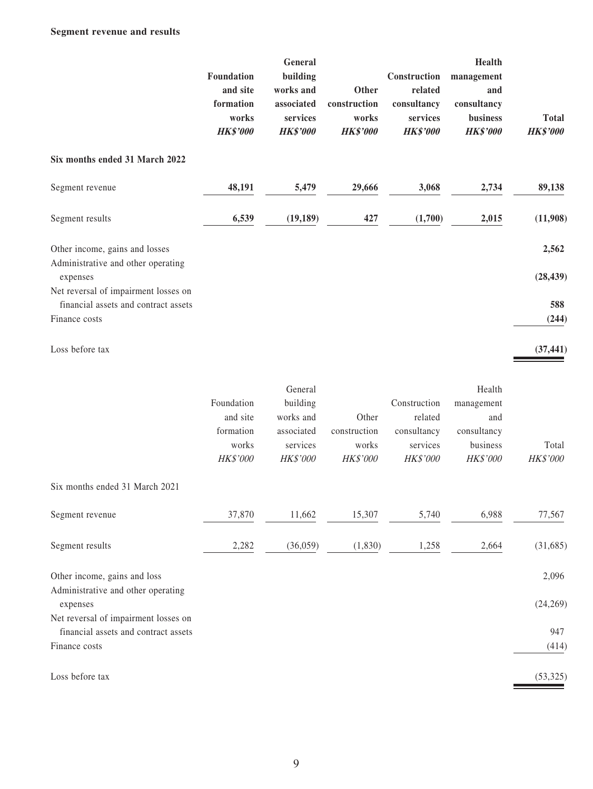|                                                                                               | Foundation<br>and site<br>formation<br>works<br><b>HK\$'000</b> | General<br>building<br>works and<br>associated<br>services<br><b>HK\$'000</b> | Other<br>construction<br>works<br><b>HK\$'000</b> | Construction<br>related<br>consultancy<br>services<br><b>HK\$'000</b> | Health<br>management<br>and<br>consultancy<br>business<br><b>HK\$'000</b> | <b>Total</b><br><b>HK\$'000</b> |
|-----------------------------------------------------------------------------------------------|-----------------------------------------------------------------|-------------------------------------------------------------------------------|---------------------------------------------------|-----------------------------------------------------------------------|---------------------------------------------------------------------------|---------------------------------|
| Six months ended 31 March 2022                                                                |                                                                 |                                                                               |                                                   |                                                                       |                                                                           |                                 |
| Segment revenue                                                                               | 48,191                                                          | 5,479                                                                         | 29,666                                            | 3,068                                                                 | 2,734                                                                     | 89,138                          |
| Segment results                                                                               | 6,539                                                           | (19, 189)                                                                     | 427                                               | (1,700)                                                               | 2,015                                                                     | (11,908)                        |
| Other income, gains and losses                                                                |                                                                 |                                                                               |                                                   |                                                                       |                                                                           | 2,562                           |
| Administrative and other operating<br>expenses                                                |                                                                 |                                                                               |                                                   |                                                                       |                                                                           | (28, 439)                       |
| Net reversal of impairment losses on<br>financial assets and contract assets<br>Finance costs |                                                                 |                                                                               |                                                   |                                                                       |                                                                           | 588<br>(244)                    |
| Loss before tax                                                                               |                                                                 |                                                                               |                                                   |                                                                       |                                                                           | (37, 441)                       |
|                                                                                               | Foundation<br>and site<br>formation<br>works<br>HK\$'000        | General<br>building<br>works and<br>associated<br>services<br>HK\$'000        | Other<br>construction<br>works<br>HK\$'000        | Construction<br>related<br>consultancy<br>services<br>HK\$'000        | Health<br>management<br>and<br>consultancy<br>business<br>HK\$'000        | Total<br>HK\$'000               |
| Six months ended 31 March 2021                                                                |                                                                 |                                                                               |                                                   |                                                                       |                                                                           |                                 |
| Segment revenue                                                                               | 37,870                                                          | 11,662                                                                        | 15,307                                            | 5,740                                                                 | 6,988                                                                     | 77,567                          |
| Segment results                                                                               | 2,282                                                           | (36,059)                                                                      | (1, 830)                                          | 1,258                                                                 | 2,664                                                                     | (31,685)                        |
| Other income, gains and loss<br>Administrative and other operating                            |                                                                 |                                                                               |                                                   |                                                                       |                                                                           | 2,096                           |
| expenses<br>Net reversal of impairment losses on                                              |                                                                 |                                                                               |                                                   |                                                                       |                                                                           | (24, 269)                       |
| financial assets and contract assets<br>Finance costs                                         |                                                                 |                                                                               |                                                   |                                                                       |                                                                           | 947<br>(414)                    |
| Loss before tax                                                                               |                                                                 |                                                                               |                                                   |                                                                       |                                                                           | (53, 325)                       |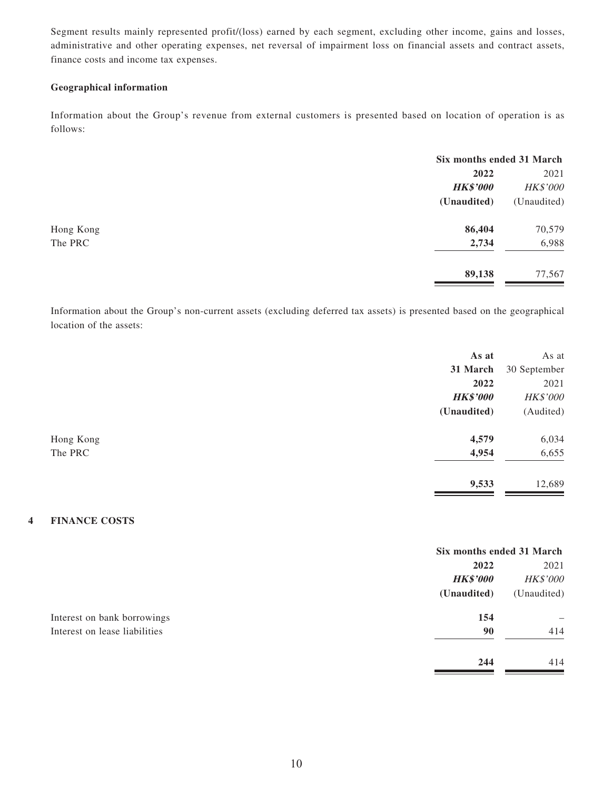Segment results mainly represented profit/(loss) earned by each segment, excluding other income, gains and losses, administrative and other operating expenses, net reversal of impairment loss on financial assets and contract assets, finance costs and income tax expenses.

#### **Geographical information**

Information about the Group's revenue from external customers is presented based on location of operation is as follows:

|           |                 | Six months ended 31 March |  |
|-----------|-----------------|---------------------------|--|
|           | 2022            | 2021                      |  |
|           | <b>HK\$'000</b> | HK\$'000                  |  |
|           | (Unaudited)     | (Unaudited)               |  |
| Hong Kong | 86,404          | 70,579                    |  |
| The PRC   | 2,734           | 6,988                     |  |
|           | 89,138          | 77,567                    |  |

Information about the Group's non-current assets (excluding deferred tax assets) is presented based on the geographical location of the assets:

|           | As at           | As at        |
|-----------|-----------------|--------------|
|           | 31 March        | 30 September |
|           | 2022            | 2021         |
|           | <b>HK\$'000</b> | HK\$'000     |
|           | (Unaudited)     | (Audited)    |
| Hong Kong | 4,579           | 6,034        |
| The PRC   | 4,954           | 6,655        |
|           | 9,533           | 12,689       |

### **4 FINANCE COSTS**

|                               |                 | Six months ended 31 March |  |
|-------------------------------|-----------------|---------------------------|--|
|                               | 2022            | 2021                      |  |
|                               | <b>HK\$'000</b> | <b>HK\$'000</b>           |  |
|                               | (Unaudited)     | (Unaudited)               |  |
| Interest on bank borrowings   | 154             |                           |  |
| Interest on lease liabilities | 90              | 414                       |  |
|                               | 244             | 414                       |  |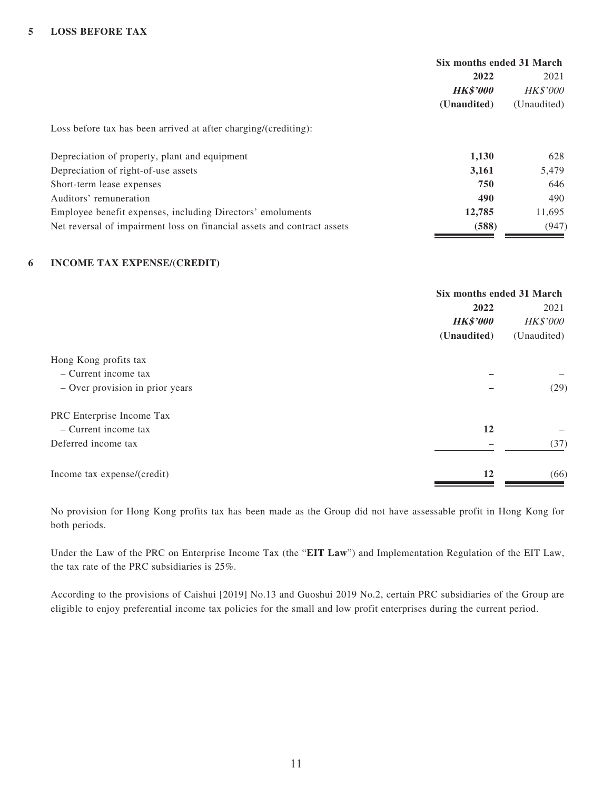|                                                                         | Six months ended 31 March |                 |
|-------------------------------------------------------------------------|---------------------------|-----------------|
|                                                                         | 2022                      | 2021            |
|                                                                         | <b>HK\$'000</b>           | <b>HK\$'000</b> |
|                                                                         | (Unaudited)               | (Unaudited)     |
| Loss before tax has been arrived at after charging/(crediting):         |                           |                 |
| Depreciation of property, plant and equipment                           | 1,130                     | 628             |
| Depreciation of right-of-use assets                                     | 3,161                     | 5,479           |
| Short-term lease expenses                                               | 750                       | 646             |
| Auditors' remuneration                                                  | 490                       | 490             |
| Employee benefit expenses, including Directors' emoluments              | 12,785                    | 11.695          |
| Net reversal of impairment loss on financial assets and contract assets | (588)                     | (947)           |

#### **6 INCOME TAX EXPENSE/(CREDIT)**

|                                 | Six months ended 31 March |                 |
|---------------------------------|---------------------------|-----------------|
|                                 | 2022                      |                 |
|                                 | <b>HK\$'000</b>           | <b>HK\$'000</b> |
|                                 | (Unaudited)               | (Unaudited)     |
| Hong Kong profits tax           |                           |                 |
| $-$ Current income tax          |                           |                 |
| - Over provision in prior years |                           | (29)            |
| PRC Enterprise Income Tax       |                           |                 |
| $-$ Current income tax          | 12                        |                 |
| Deferred income tax             |                           | (37)            |
| Income tax expense/(credit)     | 12                        | (66)            |

No provision for Hong Kong profits tax has been made as the Group did not have assessable profit in Hong Kong for both periods.

Under the Law of the PRC on Enterprise Income Tax (the "**EIT Law**") and Implementation Regulation of the EIT Law, the tax rate of the PRC subsidiaries is 25%.

According to the provisions of Caishui [2019] No.13 and Guoshui 2019 No.2, certain PRC subsidiaries of the Group are eligible to enjoy preferential income tax policies for the small and low profit enterprises during the current period.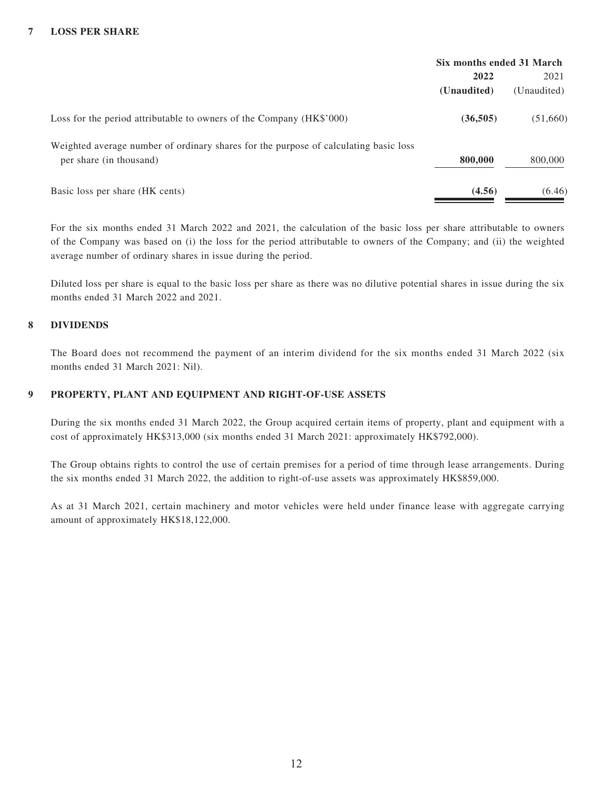#### **7 LOSS PER SHARE**

|                                                                                                                 | Six months ended 31 March |             |
|-----------------------------------------------------------------------------------------------------------------|---------------------------|-------------|
|                                                                                                                 | 2022                      |             |
|                                                                                                                 | (Unaudited)               | (Unaudited) |
| Loss for the period attributable to owners of the Company (HK\$'000)                                            | (36,505)                  | (51,660)    |
| Weighted average number of ordinary shares for the purpose of calculating basic loss<br>per share (in thousand) | 800,000                   | 800,000     |
| Basic loss per share (HK cents)                                                                                 | (4.56)                    | (6.46)      |

For the six months ended 31 March 2022 and 2021, the calculation of the basic loss per share attributable to owners of the Company was based on (i) the loss for the period attributable to owners of the Company; and (ii) the weighted average number of ordinary shares in issue during the period.

Diluted loss per share is equal to the basic loss per share as there was no dilutive potential shares in issue during the six months ended 31 March 2022 and 2021.

#### **8 DIVIDENDS**

The Board does not recommend the payment of an interim dividend for the six months ended 31 March 2022 (six months ended 31 March 2021: Nil).

#### **9 PROPERTY, PLANT AND EQUIPMENT AND RIGHT-OF-USE ASSETS**

During the six months ended 31 March 2022, the Group acquired certain items of property, plant and equipment with a cost of approximately HK\$313,000 (six months ended 31 March 2021: approximately HK\$792,000).

The Group obtains rights to control the use of certain premises for a period of time through lease arrangements. During the six months ended 31 March 2022, the addition to right-of-use assets was approximately HK\$859,000.

As at 31 March 2021, certain machinery and motor vehicles were held under finance lease with aggregate carrying amount of approximately HK\$18,122,000.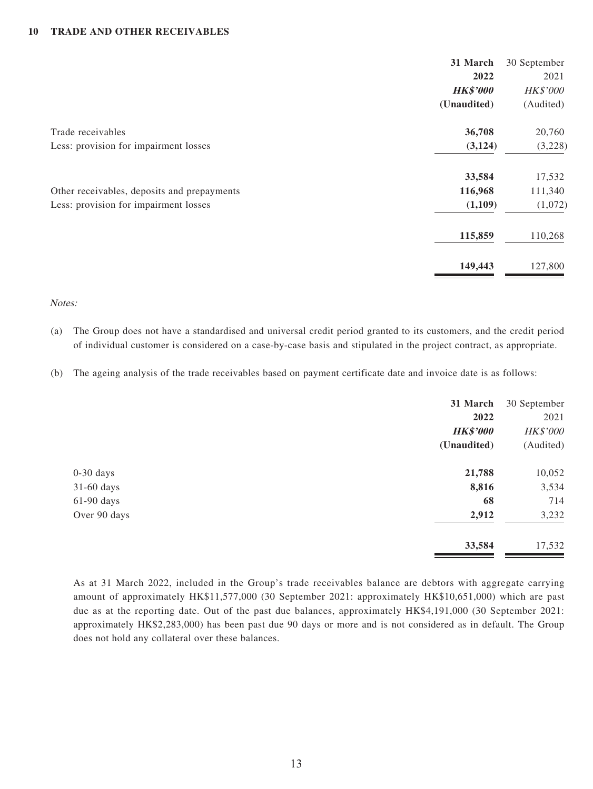#### **10 TRADE AND OTHER RECEIVABLES**

|                                             | 31 March        | 30 September    |
|---------------------------------------------|-----------------|-----------------|
|                                             | 2022            | 2021            |
|                                             | <b>HK\$'000</b> | <b>HK\$'000</b> |
|                                             | (Unaudited)     | (Audited)       |
| Trade receivables                           | 36,708          | 20,760          |
| Less: provision for impairment losses       | (3, 124)        | (3,228)         |
|                                             | 33,584          | 17,532          |
| Other receivables, deposits and prepayments | 116,968         | 111,340         |
| Less: provision for impairment losses       | (1,109)         | (1,072)         |
|                                             | 115,859         | 110,268         |
|                                             | 149,443         | 127,800         |

#### Notes:

- (a) The Group does not have a standardised and universal credit period granted to its customers, and the credit period of individual customer is considered on a case-by-case basis and stipulated in the project contract, as appropriate.
- (b) The ageing analysis of the trade receivables based on payment certificate date and invoice date is as follows:

|              | 31 March        | 30 September |
|--------------|-----------------|--------------|
|              | 2022            | 2021         |
|              | <b>HK\$'000</b> | HK\$'000     |
|              | (Unaudited)     | (Audited)    |
| $0-30$ days  | 21,788          | 10,052       |
| $31-60$ days | 8,816           | 3,534        |
| $61-90$ days | 68              | 714          |
| Over 90 days | 2,912           | 3,232        |
|              | 33,584          | 17,532       |

As at 31 March 2022, included in the Group's trade receivables balance are debtors with aggregate carrying amount of approximately HK\$11,577,000 (30 September 2021: approximately HK\$10,651,000) which are past due as at the reporting date. Out of the past due balances, approximately HK\$4,191,000 (30 September 2021: approximately HK\$2,283,000) has been past due 90 days or more and is not considered as in default. The Group does not hold any collateral over these balances.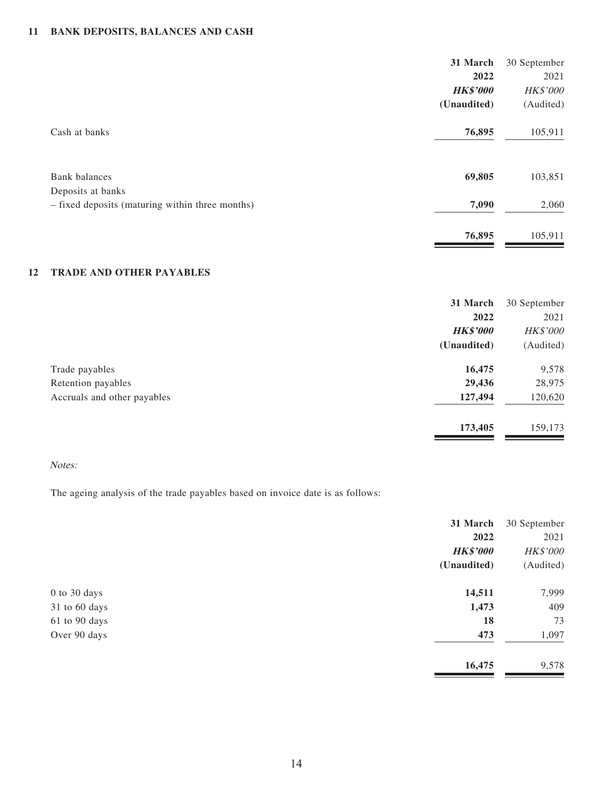### **11 BANK DEPOSITS, BALANCES AND CASH**

|                                                                      | 31 March        | 30 September |
|----------------------------------------------------------------------|-----------------|--------------|
|                                                                      | 2022            | 2021         |
|                                                                      | <b>HK\$'000</b> | HK\$'000     |
|                                                                      | (Unaudited)     | (Audited)    |
| Cash at banks                                                        | 76,895          | 105,911      |
| Bank balances                                                        | 69,805          | 103,851      |
| Deposits at banks<br>- fixed deposits (maturing within three months) | 7,090           | 2,060        |
|                                                                      | 76,895          | 105,911      |
|                                                                      |                 |              |

#### **12 TRADE AND OTHER PAYABLES**

|                             | 31 March        | 30 September    |
|-----------------------------|-----------------|-----------------|
|                             | 2022            | 2021            |
|                             | <b>HK\$'000</b> | <b>HK\$'000</b> |
|                             | (Unaudited)     | (Audited)       |
| Trade payables              | 16,475          | 9,578           |
| Retention payables          | 29,436          | 28,975          |
| Accruals and other payables | 127,494         | 120,620         |
|                             | 173,405         | 159,173         |

#### Notes:

The ageing analysis of the trade payables based on invoice date is as follows:

|                  | 31 March        | 30 September |
|------------------|-----------------|--------------|
|                  | 2022            | 2021         |
|                  | <b>HK\$'000</b> | HK\$'000     |
|                  | (Unaudited)     | (Audited)    |
| $0$ to $30$ days | 14,511          | 7,999        |
| 31 to 60 days    | 1,473           | 409          |
| 61 to 90 days    | 18              | 73           |
| Over 90 days     | 473             | 1,097        |
|                  | 16,475          | 9,578        |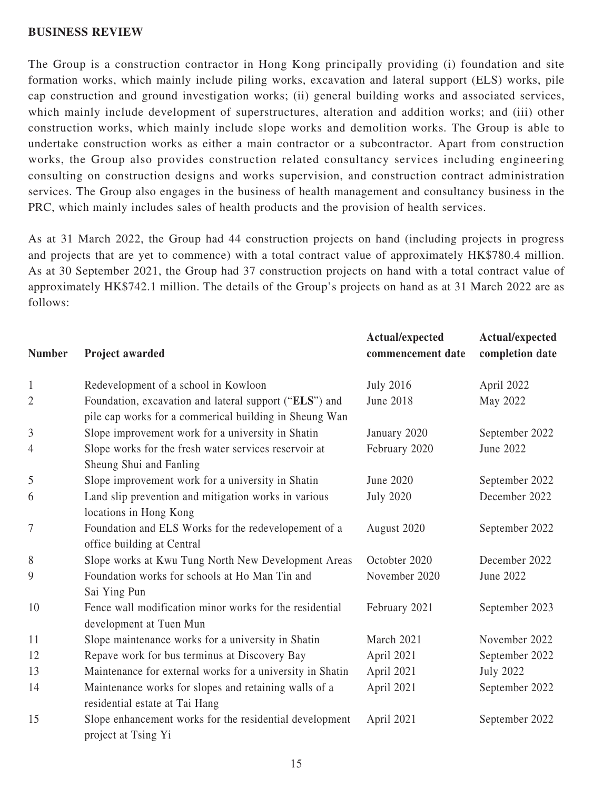#### **BUSINESS REVIEW**

The Group is a construction contractor in Hong Kong principally providing (i) foundation and site formation works, which mainly include piling works, excavation and lateral support (ELS) works, pile cap construction and ground investigation works; (ii) general building works and associated services, which mainly include development of superstructures, alteration and addition works; and (iii) other construction works, which mainly include slope works and demolition works. The Group is able to undertake construction works as either a main contractor or a subcontractor. Apart from construction works, the Group also provides construction related consultancy services including engineering consulting on construction designs and works supervision, and construction contract administration services. The Group also engages in the business of health management and consultancy business in the PRC, which mainly includes sales of health products and the provision of health services.

As at 31 March 2022, the Group had 44 construction projects on hand (including projects in progress and projects that are yet to commence) with a total contract value of approximately HK\$780.4 million. As at 30 September 2021, the Group had 37 construction projects on hand with a total contract value of approximately HK\$742.1 million. The details of the Group's projects on hand as at 31 March 2022 are as follows:

| <b>Number</b>  | Project awarded                                                                                                  | Actual/expected<br>commencement date | Actual/expected<br>completion date |
|----------------|------------------------------------------------------------------------------------------------------------------|--------------------------------------|------------------------------------|
| $\mathbf{1}$   | Redevelopment of a school in Kowloon                                                                             | <b>July 2016</b>                     | April 2022                         |
| $\overline{2}$ | Foundation, excavation and lateral support ("ELS") and<br>pile cap works for a commerical building in Sheung Wan | June 2018                            | May 2022                           |
| 3              | Slope improvement work for a university in Shatin                                                                | January 2020                         | September 2022                     |
| 4              | Slope works for the fresh water services reservoir at<br>Sheung Shui and Fanling                                 | February 2020                        | June 2022                          |
| 5              | Slope improvement work for a university in Shatin                                                                | June 2020                            | September 2022                     |
| 6              | Land slip prevention and mitigation works in various<br>locations in Hong Kong                                   | <b>July 2020</b>                     | December 2022                      |
| 7              | Foundation and ELS Works for the redevelopement of a<br>office building at Central                               | August 2020                          | September 2022                     |
| 8              | Slope works at Kwu Tung North New Development Areas                                                              | Octobter 2020                        | December 2022                      |
| 9              | Foundation works for schools at Ho Man Tin and<br>Sai Ying Pun                                                   | November 2020                        | June 2022                          |
| 10             | Fence wall modification minor works for the residential<br>development at Tuen Mun                               | February 2021                        | September 2023                     |
| 11             | Slope maintenance works for a university in Shatin                                                               | March 2021                           | November 2022                      |
| 12             | Repave work for bus terminus at Discovery Bay                                                                    | April 2021                           | September 2022                     |
| 13             | Maintenance for external works for a university in Shatin                                                        | April 2021                           | <b>July 2022</b>                   |
| 14             | Maintenance works for slopes and retaining walls of a<br>residential estate at Tai Hang                          | April 2021                           | September 2022                     |
| 15             | Slope enhancement works for the residential development<br>project at Tsing Yi                                   | April 2021                           | September 2022                     |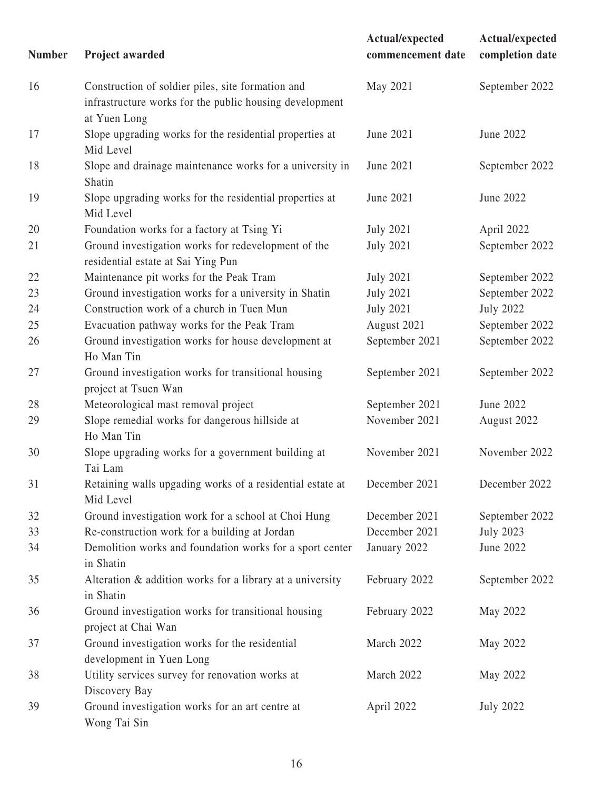| <b>Number</b> | Project awarded                                                                                                              | Actual/expected<br>commencement date | Actual/expected<br>completion date |
|---------------|------------------------------------------------------------------------------------------------------------------------------|--------------------------------------|------------------------------------|
| 16            | Construction of soldier piles, site formation and<br>infrastructure works for the public housing development<br>at Yuen Long | May 2021                             | September 2022                     |
| 17            | Slope upgrading works for the residential properties at<br>Mid Level                                                         | June 2021                            | June 2022                          |
| 18            | Slope and drainage maintenance works for a university in<br>Shatin                                                           | June 2021                            | September 2022                     |
| 19            | Slope upgrading works for the residential properties at<br>Mid Level                                                         | June 2021                            | June 2022                          |
| 20            | Foundation works for a factory at Tsing Yi                                                                                   | <b>July 2021</b>                     | April 2022                         |
| 21            | Ground investigation works for redevelopment of the<br>residential estate at Sai Ying Pun                                    | <b>July 2021</b>                     | September 2022                     |
| 22            | Maintenance pit works for the Peak Tram                                                                                      | <b>July 2021</b>                     | September 2022                     |
| 23            | Ground investigation works for a university in Shatin                                                                        | <b>July 2021</b>                     | September 2022                     |
| 24            | Construction work of a church in Tuen Mun                                                                                    | <b>July 2021</b>                     | <b>July 2022</b>                   |
| 25            | Evacuation pathway works for the Peak Tram                                                                                   | August 2021                          | September 2022                     |
| 26            | Ground investigation works for house development at<br>Ho Man Tin                                                            | September 2021                       | September 2022                     |
| 27            | Ground investigation works for transitional housing<br>project at Tsuen Wan                                                  | September 2021                       | September 2022                     |
| 28            | Meteorological mast removal project                                                                                          | September 2021                       | June 2022                          |
| 29            | Slope remedial works for dangerous hillside at<br>Ho Man Tin                                                                 | November 2021                        | August 2022                        |
| 30            | Slope upgrading works for a government building at<br>Tai Lam                                                                | November 2021                        | November 2022                      |
| 31            | Retaining walls upgading works of a residential estate at<br>Mid Level                                                       | December 2021                        | December 2022                      |
| 32            | Ground investigation work for a school at Choi Hung                                                                          | December 2021                        | September 2022                     |
| 33            | Re-construction work for a building at Jordan                                                                                | December 2021                        | <b>July 2023</b>                   |
| 34            | Demolition works and foundation works for a sport center<br>in Shatin                                                        | January 2022                         | June 2022                          |
| 35            | Alteration & addition works for a library at a university<br>in Shatin                                                       | February 2022                        | September 2022                     |
| 36            | Ground investigation works for transitional housing<br>project at Chai Wan                                                   | February 2022                        | May 2022                           |
| 37            | Ground investigation works for the residential<br>development in Yuen Long                                                   | March 2022                           | May 2022                           |
| 38            | Utility services survey for renovation works at<br>Discovery Bay                                                             | March 2022                           | May 2022                           |
| 39            | Ground investigation works for an art centre at<br>Wong Tai Sin                                                              | April 2022                           | <b>July 2022</b>                   |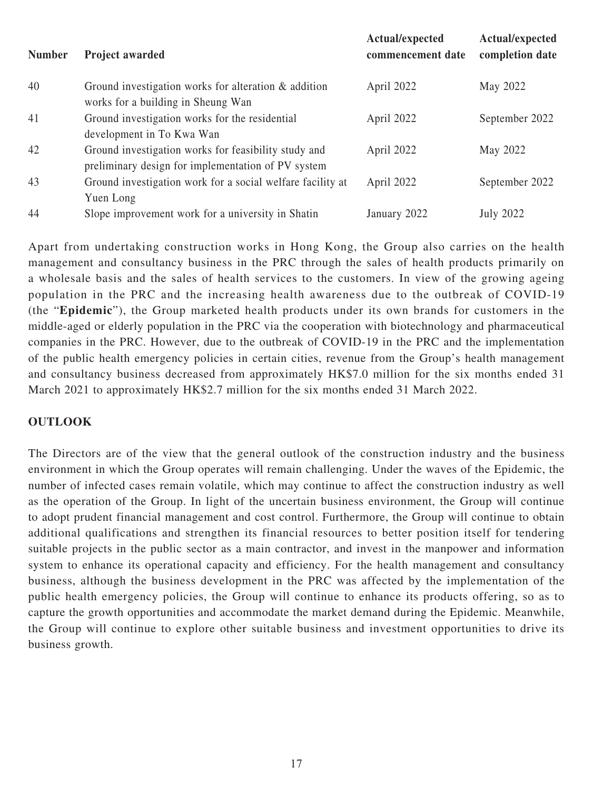| <b>Number</b> | <b>Project awarded</b>                                                                                     | Actual/expected<br>commencement date | Actual/expected<br>completion date |
|---------------|------------------------------------------------------------------------------------------------------------|--------------------------------------|------------------------------------|
| 40            | Ground investigation works for alteration $\&$ addition<br>works for a building in Sheung Wan              | April 2022                           | May 2022                           |
| 41            | Ground investigation works for the residential<br>development in To Kwa Wan                                | April 2022                           | September 2022                     |
| 42            | Ground investigation works for feasibility study and<br>preliminary design for implementation of PV system | April 2022                           | May 2022                           |
| 43            | Ground investigation work for a social welfare facility at<br>Yuen Long                                    | April 2022                           | September 2022                     |
| 44            | Slope improvement work for a university in Shatin                                                          | January 2022                         | <b>July 2022</b>                   |

Apart from undertaking construction works in Hong Kong, the Group also carries on the health management and consultancy business in the PRC through the sales of health products primarily on a wholesale basis and the sales of health services to the customers. In view of the growing ageing population in the PRC and the increasing health awareness due to the outbreak of COVID-19 (the "**Epidemic**"), the Group marketed health products under its own brands for customers in the middle-aged or elderly population in the PRC via the cooperation with biotechnology and pharmaceutical companies in the PRC. However, due to the outbreak of COVID-19 in the PRC and the implementation of the public health emergency policies in certain cities, revenue from the Group's health management and consultancy business decreased from approximately HK\$7.0 million for the six months ended 31 March 2021 to approximately HK\$2.7 million for the six months ended 31 March 2022.

### **OUTLOOK**

The Directors are of the view that the general outlook of the construction industry and the business environment in which the Group operates will remain challenging. Under the waves of the Epidemic, the number of infected cases remain volatile, which may continue to affect the construction industry as well as the operation of the Group. In light of the uncertain business environment, the Group will continue to adopt prudent financial management and cost control. Furthermore, the Group will continue to obtain additional qualifications and strengthen its financial resources to better position itself for tendering suitable projects in the public sector as a main contractor, and invest in the manpower and information system to enhance its operational capacity and efficiency. For the health management and consultancy business, although the business development in the PRC was affected by the implementation of the public health emergency policies, the Group will continue to enhance its products offering, so as to capture the growth opportunities and accommodate the market demand during the Epidemic. Meanwhile, the Group will continue to explore other suitable business and investment opportunities to drive its business growth.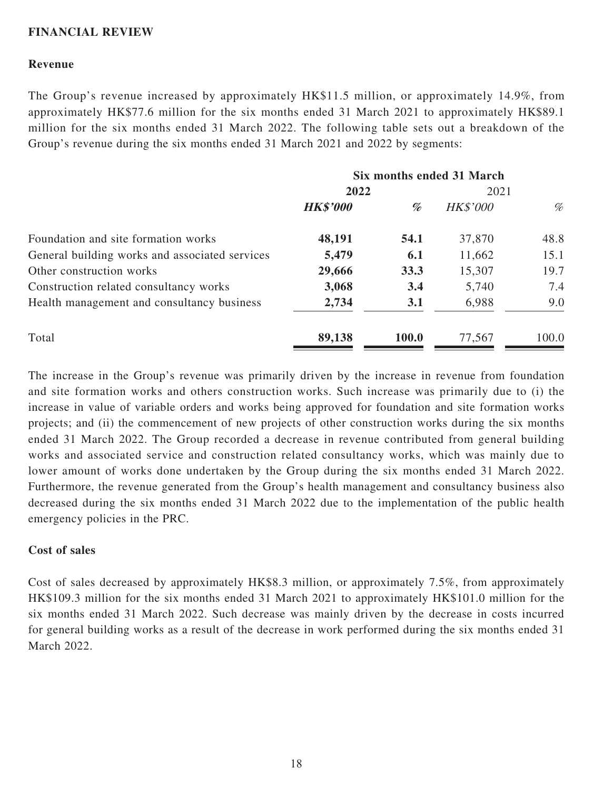### **FINANCIAL REVIEW**

### **Revenue**

The Group's revenue increased by approximately HK\$11.5 million, or approximately 14.9%, from approximately HK\$77.6 million for the six months ended 31 March 2021 to approximately HK\$89.1 million for the six months ended 31 March 2022. The following table sets out a breakdown of the Group's revenue during the six months ended 31 March 2021 and 2022 by segments:

|                                                | Six months ended 31 March |       |                 |       |
|------------------------------------------------|---------------------------|-------|-----------------|-------|
|                                                | 2022                      |       | 2021            |       |
|                                                | <b>HK\$'000</b>           | %     | <b>HK\$'000</b> | %     |
| Foundation and site formation works            | 48,191                    | 54.1  | 37,870          | 48.8  |
| General building works and associated services | 5,479                     | 6.1   | 11,662          | 15.1  |
| Other construction works                       | 29,666                    | 33.3  | 15,307          | 19.7  |
| Construction related consultancy works         | 3,068                     | 3.4   | 5,740           | 7.4   |
| Health management and consultancy business     | 2,734                     | 3.1   | 6,988           | 9.0   |
| Total                                          | 89,138                    | 100.0 | 77,567          | 100.0 |

The increase in the Group's revenue was primarily driven by the increase in revenue from foundation and site formation works and others construction works. Such increase was primarily due to (i) the increase in value of variable orders and works being approved for foundation and site formation works projects; and (ii) the commencement of new projects of other construction works during the six months ended 31 March 2022. The Group recorded a decrease in revenue contributed from general building works and associated service and construction related consultancy works, which was mainly due to lower amount of works done undertaken by the Group during the six months ended 31 March 2022. Furthermore, the revenue generated from the Group's health management and consultancy business also decreased during the six months ended 31 March 2022 due to the implementation of the public health emergency policies in the PRC.

#### **Cost of sales**

Cost of sales decreased by approximately HK\$8.3 million, or approximately 7.5%, from approximately HK\$109.3 million for the six months ended 31 March 2021 to approximately HK\$101.0 million for the six months ended 31 March 2022. Such decrease was mainly driven by the decrease in costs incurred for general building works as a result of the decrease in work performed during the six months ended 31 March 2022.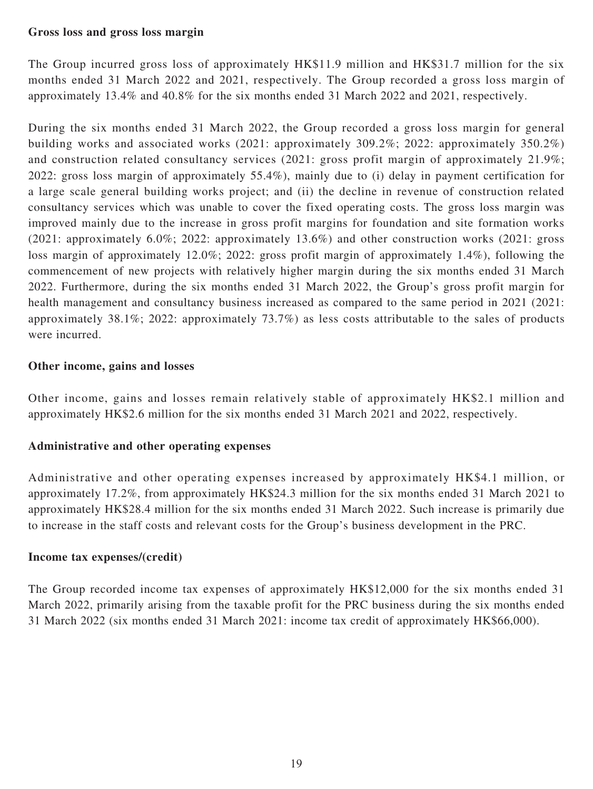### **Gross loss and gross loss margin**

The Group incurred gross loss of approximately HK\$11.9 million and HK\$31.7 million for the six months ended 31 March 2022 and 2021, respectively. The Group recorded a gross loss margin of approximately 13.4% and 40.8% for the six months ended 31 March 2022 and 2021, respectively.

During the six months ended 31 March 2022, the Group recorded a gross loss margin for general building works and associated works (2021: approximately 309.2%; 2022: approximately 350.2%) and construction related consultancy services (2021: gross profit margin of approximately 21.9%; 2022: gross loss margin of approximately 55.4%), mainly due to (i) delay in payment certification for a large scale general building works project; and (ii) the decline in revenue of construction related consultancy services which was unable to cover the fixed operating costs. The gross loss margin was improved mainly due to the increase in gross profit margins for foundation and site formation works (2021: approximately 6.0%; 2022: approximately 13.6%) and other construction works (2021: gross loss margin of approximately 12.0%; 2022: gross profit margin of approximately 1.4%), following the commencement of new projects with relatively higher margin during the six months ended 31 March 2022. Furthermore, during the six months ended 31 March 2022, the Group's gross profit margin for health management and consultancy business increased as compared to the same period in 2021 (2021: approximately 38.1%; 2022: approximately 73.7%) as less costs attributable to the sales of products were incurred.

### **Other income, gains and losses**

Other income, gains and losses remain relatively stable of approximately HK\$2.1 million and approximately HK\$2.6 million for the six months ended 31 March 2021 and 2022, respectively.

# **Administrative and other operating expenses**

Administrative and other operating expenses increased by approximately HK\$4.1 million, or approximately 17.2%, from approximately HK\$24.3 million for the six months ended 31 March 2021 to approximately HK\$28.4 million for the six months ended 31 March 2022. Such increase is primarily due to increase in the staff costs and relevant costs for the Group's business development in the PRC.

### **Income tax expenses/(credit)**

The Group recorded income tax expenses of approximately HK\$12,000 for the six months ended 31 March 2022, primarily arising from the taxable profit for the PRC business during the six months ended 31 March 2022 (six months ended 31 March 2021: income tax credit of approximately HK\$66,000).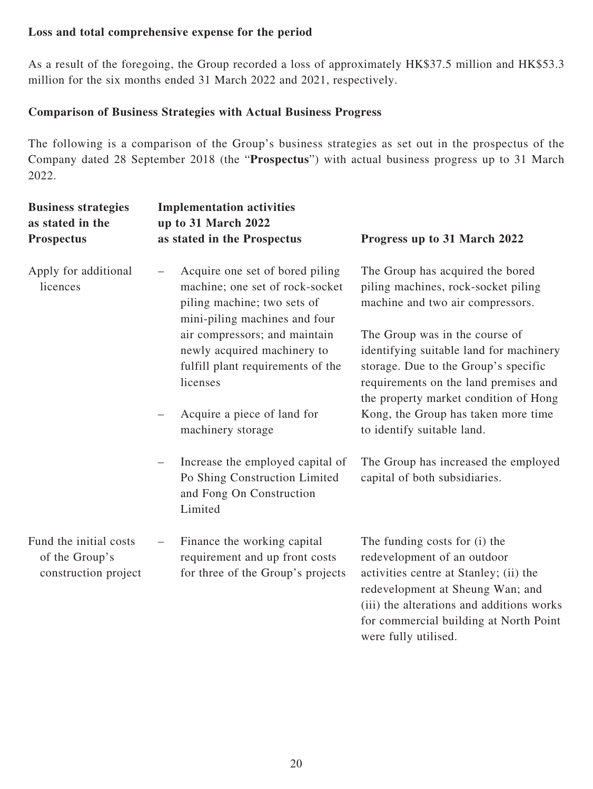# **Loss and total comprehensive expense for the period**

As a result of the foregoing, the Group recorded a loss of approximately HK\$37.5 million and HK\$53.3 million for the six months ended 31 March 2022 and 2021, respectively.

# **Comparison of Business Strategies with Actual Business Progress**

The following is a comparison of the Group's business strategies as set out in the prospectus of the Company dated 28 September 2018 (the "**Prospectus**") with actual business progress up to 31 March 2022.

| <b>Business strategies</b><br>as stated in the<br><b>Prospectus</b> | <b>Implementation activities</b><br>up to 31 March 2022<br>as stated in the Prospectus                                             | Progress up to 31 March 2022                                                                                                                                                                                                      |
|---------------------------------------------------------------------|------------------------------------------------------------------------------------------------------------------------------------|-----------------------------------------------------------------------------------------------------------------------------------------------------------------------------------------------------------------------------------|
| Apply for additional<br>licences                                    | Acquire one set of bored piling<br>machine; one set of rock-socket<br>piling machine; two sets of<br>mini-piling machines and four | The Group has acquired the bored<br>piling machines, rock-socket piling<br>machine and two air compressors.                                                                                                                       |
|                                                                     | air compressors; and maintain<br>newly acquired machinery to<br>fulfill plant requirements of the<br>licenses                      | The Group was in the course of<br>identifying suitable land for machinery<br>storage. Due to the Group's specific<br>requirements on the land premises and<br>the property market condition of Hong                               |
|                                                                     | Acquire a piece of land for<br>machinery storage                                                                                   | Kong, the Group has taken more time<br>to identify suitable land.                                                                                                                                                                 |
|                                                                     | Increase the employed capital of<br>Po Shing Construction Limited<br>and Fong On Construction<br>Limited                           | The Group has increased the employed<br>capital of both subsidiaries.                                                                                                                                                             |
| Fund the initial costs<br>of the Group's<br>construction project    | Finance the working capital<br>requirement and up front costs<br>for three of the Group's projects                                 | The funding costs for (i) the<br>redevelopment of an outdoor<br>activities centre at Stanley; (ii) the<br>redevelopment at Sheung Wan; and<br>(iii) the alterations and additions works<br>for commercial building at North Point |

were fully utilised.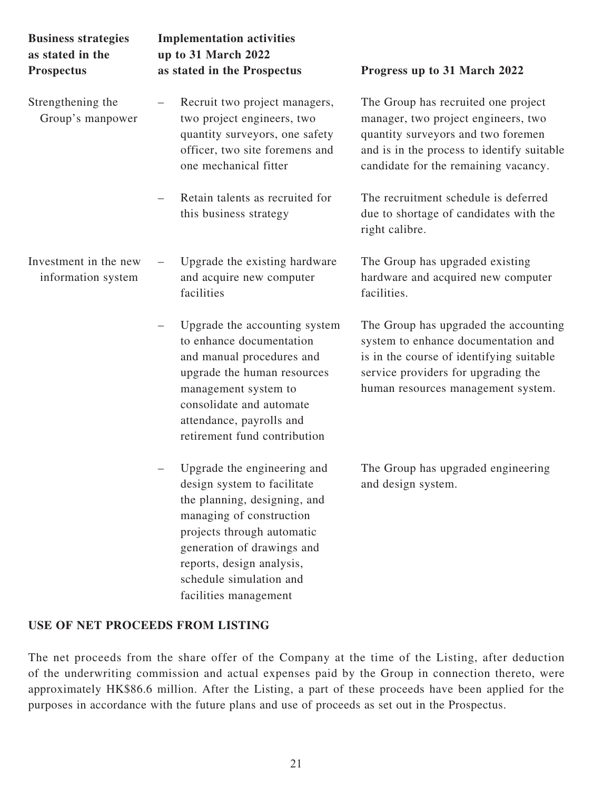| <b>Business strategies</b><br>as stated in the<br><b>Prospectus</b> | <b>Implementation activities</b><br>up to 31 March 2022<br>as stated in the Prospectus                                                                                                                                                | Progress up to 31 March 2022                                                                                                                                                                           |
|---------------------------------------------------------------------|---------------------------------------------------------------------------------------------------------------------------------------------------------------------------------------------------------------------------------------|--------------------------------------------------------------------------------------------------------------------------------------------------------------------------------------------------------|
| Strengthening the<br>Group's manpower                               | Recruit two project managers,<br>two project engineers, two<br>quantity surveyors, one safety<br>officer, two site foremens and<br>one mechanical fitter                                                                              | The Group has recruited one project<br>manager, two project engineers, two<br>quantity surveyors and two foremen<br>and is in the process to identify suitable<br>candidate for the remaining vacancy. |
|                                                                     | Retain talents as recruited for<br>this business strategy                                                                                                                                                                             | The recruitment schedule is deferred<br>due to shortage of candidates with the<br>right calibre.                                                                                                       |
| Investment in the new<br>information system                         | Upgrade the existing hardware<br>and acquire new computer<br>facilities                                                                                                                                                               | The Group has upgraded existing<br>hardware and acquired new computer<br>facilities.                                                                                                                   |
|                                                                     | Upgrade the accounting system<br>to enhance documentation<br>and manual procedures and<br>upgrade the human resources<br>management system to<br>consolidate and automate<br>attendance, payrolls and<br>retirement fund contribution | The Group has upgraded the accounting<br>system to enhance documentation and<br>is in the course of identifying suitable<br>service providers for upgrading the<br>human resources management system.  |
|                                                                     | Upgrade the engineering and<br>design system to facilitate<br>the planning, designing, and<br>managing of construction<br>projects through automatic<br>generation of drawings and<br>reports, design analysis,                       | The Group has upgraded engineering<br>and design system.                                                                                                                                               |

# **USE OF NET PROCEEDS FROM LISTING**

The net proceeds from the share offer of the Company at the time of the Listing, after deduction of the underwriting commission and actual expenses paid by the Group in connection thereto, were approximately HK\$86.6 million. After the Listing, a part of these proceeds have been applied for the purposes in accordance with the future plans and use of proceeds as set out in the Prospectus.

schedule simulation and facilities management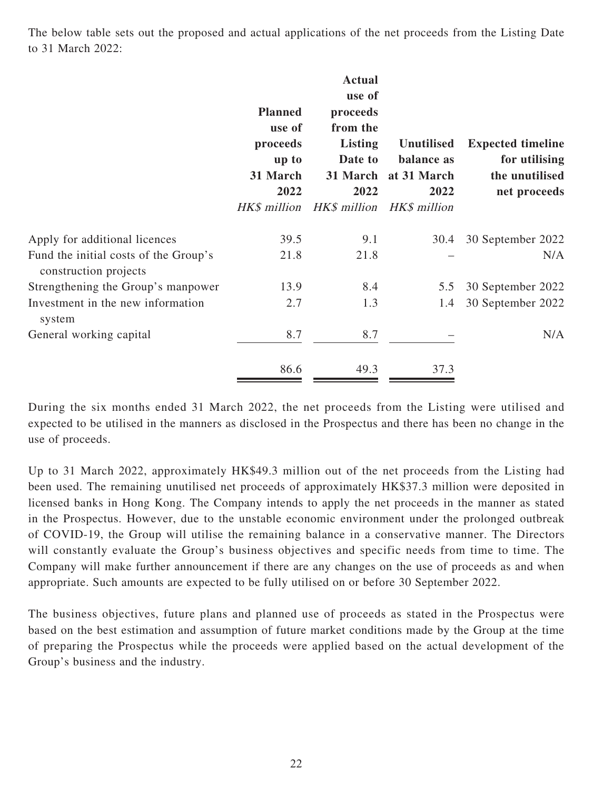The below table sets out the proposed and actual applications of the net proceeds from the Listing Date to 31 March 2022:

|                                                                | <b>Planned</b><br>use of<br>proceeds<br>up to<br>31 March<br>2022<br>HK\$ million | <b>Actual</b><br>use of<br>proceeds<br>from the<br><b>Listing</b><br>Date to<br>2022 | <b>Unutilised</b><br>balance as<br>31 March at 31 March<br>2022<br>HK\$ million HK\$ million | <b>Expected timeline</b><br>for utilising<br>the unutilised<br>net proceeds |
|----------------------------------------------------------------|-----------------------------------------------------------------------------------|--------------------------------------------------------------------------------------|----------------------------------------------------------------------------------------------|-----------------------------------------------------------------------------|
| Apply for additional licences                                  | 39.5                                                                              | 9.1                                                                                  | 30.4                                                                                         | 30 September 2022                                                           |
| Fund the initial costs of the Group's<br>construction projects | 21.8                                                                              | 21.8                                                                                 |                                                                                              | N/A                                                                         |
| Strengthening the Group's manpower                             | 13.9                                                                              | 8.4                                                                                  | 5.5                                                                                          | 30 September 2022                                                           |
| Investment in the new information<br>system                    | 2.7                                                                               | 1.3                                                                                  | 1.4                                                                                          | 30 September 2022                                                           |
| General working capital                                        | 8.7                                                                               | 8.7                                                                                  |                                                                                              | N/A                                                                         |
|                                                                | 86.6                                                                              | 49.3                                                                                 | 37.3                                                                                         |                                                                             |

During the six months ended 31 March 2022, the net proceeds from the Listing were utilised and expected to be utilised in the manners as disclosed in the Prospectus and there has been no change in the use of proceeds.

Up to 31 March 2022, approximately HK\$49.3 million out of the net proceeds from the Listing had been used. The remaining unutilised net proceeds of approximately HK\$37.3 million were deposited in licensed banks in Hong Kong. The Company intends to apply the net proceeds in the manner as stated in the Prospectus. However, due to the unstable economic environment under the prolonged outbreak of COVID-19, the Group will utilise the remaining balance in a conservative manner. The Directors will constantly evaluate the Group's business objectives and specific needs from time to time. The Company will make further announcement if there are any changes on the use of proceeds as and when appropriate. Such amounts are expected to be fully utilised on or before 30 September 2022.

The business objectives, future plans and planned use of proceeds as stated in the Prospectus were based on the best estimation and assumption of future market conditions made by the Group at the time of preparing the Prospectus while the proceeds were applied based on the actual development of the Group's business and the industry.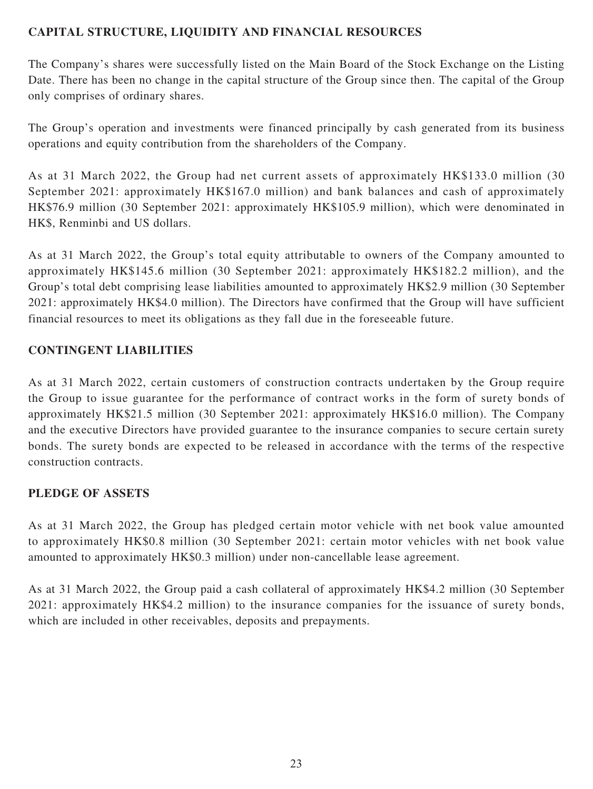# **CAPITAL STRUCTURE, LIQUIDITY AND FINANCIAL RESOURCES**

The Company's shares were successfully listed on the Main Board of the Stock Exchange on the Listing Date. There has been no change in the capital structure of the Group since then. The capital of the Group only comprises of ordinary shares.

The Group's operation and investments were financed principally by cash generated from its business operations and equity contribution from the shareholders of the Company.

As at 31 March 2022, the Group had net current assets of approximately HK\$133.0 million (30 September 2021: approximately HK\$167.0 million) and bank balances and cash of approximately HK\$76.9 million (30 September 2021: approximately HK\$105.9 million), which were denominated in HK\$, Renminbi and US dollars.

As at 31 March 2022, the Group's total equity attributable to owners of the Company amounted to approximately HK\$145.6 million (30 September 2021: approximately HK\$182.2 million), and the Group's total debt comprising lease liabilities amounted to approximately HK\$2.9 million (30 September 2021: approximately HK\$4.0 million). The Directors have confirmed that the Group will have sufficient financial resources to meet its obligations as they fall due in the foreseeable future.

# **CONTINGENT LIABILITIES**

As at 31 March 2022, certain customers of construction contracts undertaken by the Group require the Group to issue guarantee for the performance of contract works in the form of surety bonds of approximately HK\$21.5 million (30 September 2021: approximately HK\$16.0 million). The Company and the executive Directors have provided guarantee to the insurance companies to secure certain surety bonds. The surety bonds are expected to be released in accordance with the terms of the respective construction contracts.

# **PLEDGE OF ASSETS**

As at 31 March 2022, the Group has pledged certain motor vehicle with net book value amounted to approximately HK\$0.8 million (30 September 2021: certain motor vehicles with net book value amounted to approximately HK\$0.3 million) under non-cancellable lease agreement.

As at 31 March 2022, the Group paid a cash collateral of approximately HK\$4.2 million (30 September 2021: approximately HK\$4.2 million) to the insurance companies for the issuance of surety bonds, which are included in other receivables, deposits and prepayments.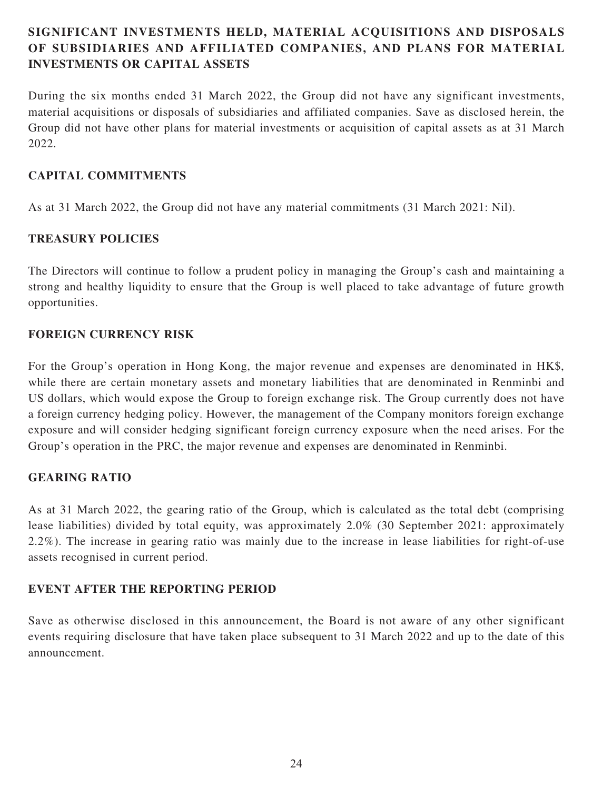# **SIGNIFICANT INVESTMENTS HELD, MATERIAL ACQUISITIONS AND DISPOSALS OF SUBSIDIARIES AND AFFILIATED COMPANIES, AND PLANS FOR MATERIAL INVESTMENTS OR CAPITAL ASSETS**

During the six months ended 31 March 2022, the Group did not have any significant investments, material acquisitions or disposals of subsidiaries and affiliated companies. Save as disclosed herein, the Group did not have other plans for material investments or acquisition of capital assets as at 31 March 2022.

## **CAPITAL COMMITMENTS**

As at 31 March 2022, the Group did not have any material commitments (31 March 2021: Nil).

# **TREASURY POLICIES**

The Directors will continue to follow a prudent policy in managing the Group's cash and maintaining a strong and healthy liquidity to ensure that the Group is well placed to take advantage of future growth opportunities.

# **FOREIGN CURRENCY RISK**

For the Group's operation in Hong Kong, the major revenue and expenses are denominated in HK\$, while there are certain monetary assets and monetary liabilities that are denominated in Renminbi and US dollars, which would expose the Group to foreign exchange risk. The Group currently does not have a foreign currency hedging policy. However, the management of the Company monitors foreign exchange exposure and will consider hedging significant foreign currency exposure when the need arises. For the Group's operation in the PRC, the major revenue and expenses are denominated in Renminbi.

# **GEARING RATIO**

As at 31 March 2022, the gearing ratio of the Group, which is calculated as the total debt (comprising lease liabilities) divided by total equity, was approximately 2.0% (30 September 2021: approximately 2.2%). The increase in gearing ratio was mainly due to the increase in lease liabilities for right-of-use assets recognised in current period.

### **EVENT AFTER THE REPORTING PERIOD**

Save as otherwise disclosed in this announcement, the Board is not aware of any other significant events requiring disclosure that have taken place subsequent to 31 March 2022 and up to the date of this announcement.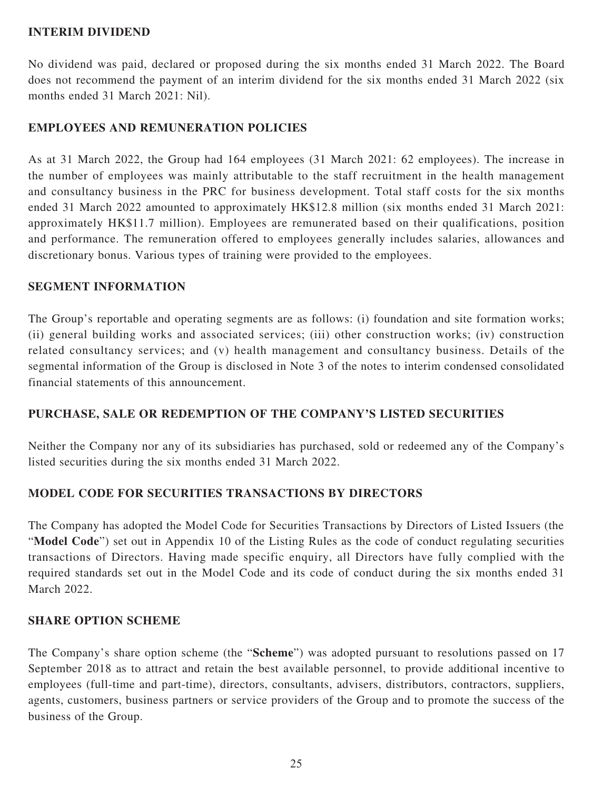### **INTERIM DIVIDEND**

No dividend was paid, declared or proposed during the six months ended 31 March 2022. The Board does not recommend the payment of an interim dividend for the six months ended 31 March 2022 (six months ended 31 March 2021: Nil).

# **EMPLOYEES AND REMUNERATION POLICIES**

As at 31 March 2022, the Group had 164 employees (31 March 2021: 62 employees). The increase in the number of employees was mainly attributable to the staff recruitment in the health management and consultancy business in the PRC for business development. Total staff costs for the six months ended 31 March 2022 amounted to approximately HK\$12.8 million (six months ended 31 March 2021: approximately HK\$11.7 million). Employees are remunerated based on their qualifications, position and performance. The remuneration offered to employees generally includes salaries, allowances and discretionary bonus. Various types of training were provided to the employees.

### **SEGMENT INFORMATION**

The Group's reportable and operating segments are as follows: (i) foundation and site formation works; (ii) general building works and associated services; (iii) other construction works; (iv) construction related consultancy services; and (v) health management and consultancy business. Details of the segmental information of the Group is disclosed in Note 3 of the notes to interim condensed consolidated financial statements of this announcement.

### **PURCHASE, SALE OR REDEMPTION OF THE COMPANY'S LISTED SECURITIES**

Neither the Company nor any of its subsidiaries has purchased, sold or redeemed any of the Company's listed securities during the six months ended 31 March 2022.

# **MODEL CODE FOR SECURITIES TRANSACTIONS BY DIRECTORS**

The Company has adopted the Model Code for Securities Transactions by Directors of Listed Issuers (the "**Model Code**") set out in Appendix 10 of the Listing Rules as the code of conduct regulating securities transactions of Directors. Having made specific enquiry, all Directors have fully complied with the required standards set out in the Model Code and its code of conduct during the six months ended 31 March 2022.

### **SHARE OPTION SCHEME**

The Company's share option scheme (the "**Scheme**") was adopted pursuant to resolutions passed on 17 September 2018 as to attract and retain the best available personnel, to provide additional incentive to employees (full-time and part-time), directors, consultants, advisers, distributors, contractors, suppliers, agents, customers, business partners or service providers of the Group and to promote the success of the business of the Group.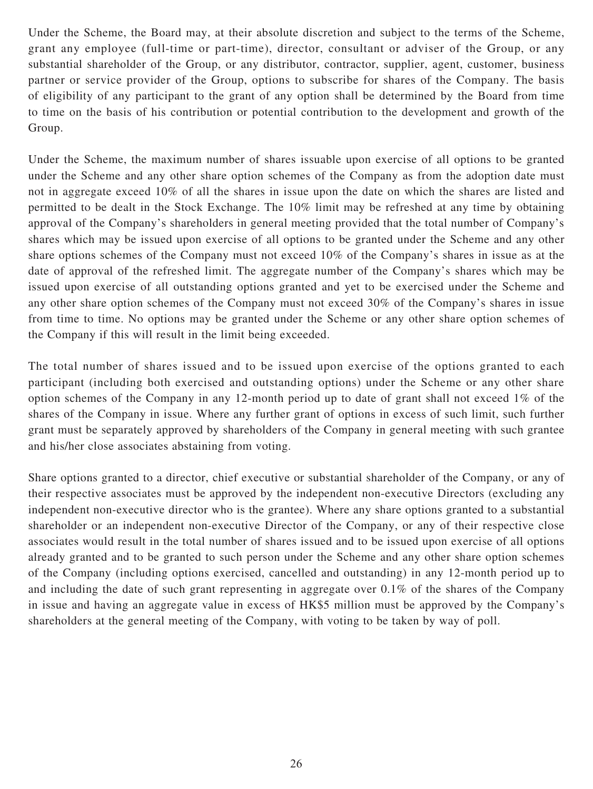Under the Scheme, the Board may, at their absolute discretion and subject to the terms of the Scheme, grant any employee (full-time or part-time), director, consultant or adviser of the Group, or any substantial shareholder of the Group, or any distributor, contractor, supplier, agent, customer, business partner or service provider of the Group, options to subscribe for shares of the Company. The basis of eligibility of any participant to the grant of any option shall be determined by the Board from time to time on the basis of his contribution or potential contribution to the development and growth of the Group.

Under the Scheme, the maximum number of shares issuable upon exercise of all options to be granted under the Scheme and any other share option schemes of the Company as from the adoption date must not in aggregate exceed 10% of all the shares in issue upon the date on which the shares are listed and permitted to be dealt in the Stock Exchange. The 10% limit may be refreshed at any time by obtaining approval of the Company's shareholders in general meeting provided that the total number of Company's shares which may be issued upon exercise of all options to be granted under the Scheme and any other share options schemes of the Company must not exceed 10% of the Company's shares in issue as at the date of approval of the refreshed limit. The aggregate number of the Company's shares which may be issued upon exercise of all outstanding options granted and yet to be exercised under the Scheme and any other share option schemes of the Company must not exceed 30% of the Company's shares in issue from time to time. No options may be granted under the Scheme or any other share option schemes of the Company if this will result in the limit being exceeded.

The total number of shares issued and to be issued upon exercise of the options granted to each participant (including both exercised and outstanding options) under the Scheme or any other share option schemes of the Company in any 12-month period up to date of grant shall not exceed 1% of the shares of the Company in issue. Where any further grant of options in excess of such limit, such further grant must be separately approved by shareholders of the Company in general meeting with such grantee and his/her close associates abstaining from voting.

Share options granted to a director, chief executive or substantial shareholder of the Company, or any of their respective associates must be approved by the independent non-executive Directors (excluding any independent non-executive director who is the grantee). Where any share options granted to a substantial shareholder or an independent non-executive Director of the Company, or any of their respective close associates would result in the total number of shares issued and to be issued upon exercise of all options already granted and to be granted to such person under the Scheme and any other share option schemes of the Company (including options exercised, cancelled and outstanding) in any 12-month period up to and including the date of such grant representing in aggregate over 0.1% of the shares of the Company in issue and having an aggregate value in excess of HK\$5 million must be approved by the Company's shareholders at the general meeting of the Company, with voting to be taken by way of poll.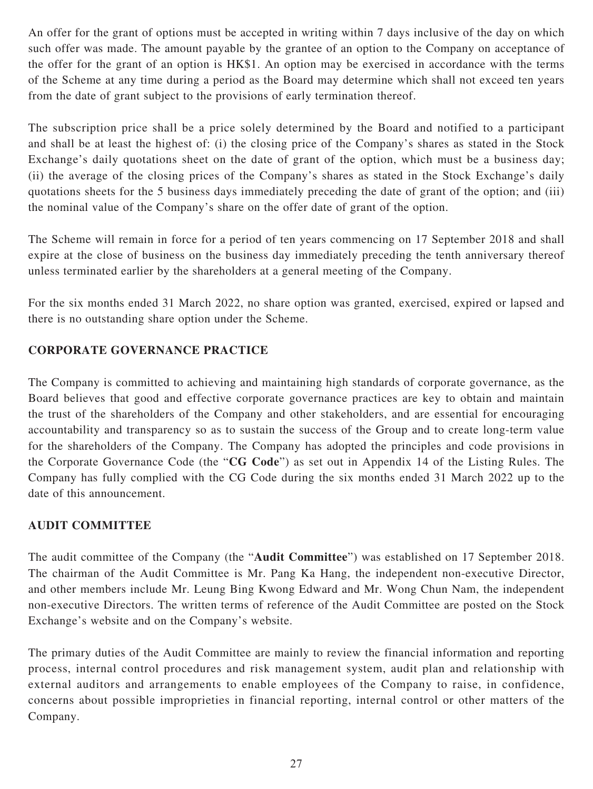An offer for the grant of options must be accepted in writing within 7 days inclusive of the day on which such offer was made. The amount payable by the grantee of an option to the Company on acceptance of the offer for the grant of an option is HK\$1. An option may be exercised in accordance with the terms of the Scheme at any time during a period as the Board may determine which shall not exceed ten years from the date of grant subject to the provisions of early termination thereof.

The subscription price shall be a price solely determined by the Board and notified to a participant and shall be at least the highest of: (i) the closing price of the Company's shares as stated in the Stock Exchange's daily quotations sheet on the date of grant of the option, which must be a business day; (ii) the average of the closing prices of the Company's shares as stated in the Stock Exchange's daily quotations sheets for the 5 business days immediately preceding the date of grant of the option; and (iii) the nominal value of the Company's share on the offer date of grant of the option.

The Scheme will remain in force for a period of ten years commencing on 17 September 2018 and shall expire at the close of business on the business day immediately preceding the tenth anniversary thereof unless terminated earlier by the shareholders at a general meeting of the Company.

For the six months ended 31 March 2022, no share option was granted, exercised, expired or lapsed and there is no outstanding share option under the Scheme.

# **CORPORATE GOVERNANCE PRACTICE**

The Company is committed to achieving and maintaining high standards of corporate governance, as the Board believes that good and effective corporate governance practices are key to obtain and maintain the trust of the shareholders of the Company and other stakeholders, and are essential for encouraging accountability and transparency so as to sustain the success of the Group and to create long-term value for the shareholders of the Company. The Company has adopted the principles and code provisions in the Corporate Governance Code (the "**CG Code**") as set out in Appendix 14 of the Listing Rules. The Company has fully complied with the CG Code during the six months ended 31 March 2022 up to the date of this announcement.

# **AUDIT COMMITTEE**

The audit committee of the Company (the "**Audit Committee**") was established on 17 September 2018. The chairman of the Audit Committee is Mr. Pang Ka Hang, the independent non-executive Director, and other members include Mr. Leung Bing Kwong Edward and Mr. Wong Chun Nam, the independent non-executive Directors. The written terms of reference of the Audit Committee are posted on the Stock Exchange's website and on the Company's website.

The primary duties of the Audit Committee are mainly to review the financial information and reporting process, internal control procedures and risk management system, audit plan and relationship with external auditors and arrangements to enable employees of the Company to raise, in confidence, concerns about possible improprieties in financial reporting, internal control or other matters of the Company.